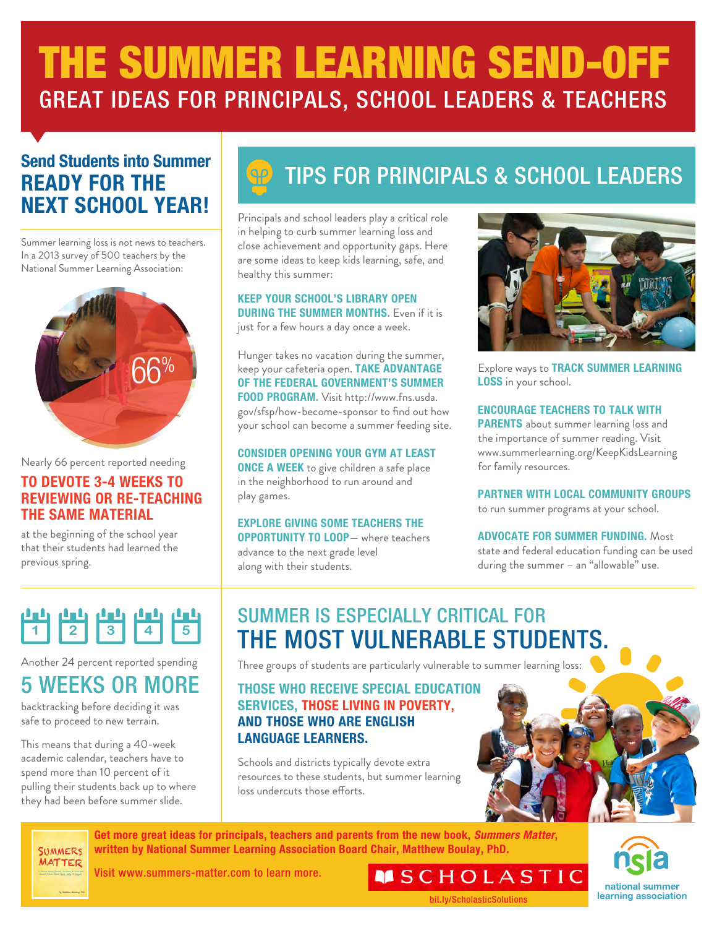# THE SUMMER LEARNING SEND-OFF GREAT IDEAS FOR PRINCIPALS, SCHOOL LEADERS & TEACHERS

# **Send Students into Summer READY FOR THE NEXT SCHOOL YEAR!**

Summer learning loss is not news to teachers. In a 2013 survey of 500 teachers by the National Summer Learning Association:



Nearly 66 percent reported needing

## **TO DEVOTE 3-4 WEEKS TO REVIEWING OR RE-TEACHING THE SAME MATERIAL**

at the beginning of the school year that their students had learned the previous spring.

# TIPS FOR PRINCIPALS & SCHOOL LEADERS

Principals and school leaders play a critical role in helping to curb summer learning loss and close achievement and opportunity gaps. Here are some ideas to keep kids learning, safe, and healthy this summer:

**KEEP YOUR SCHOOL'S LIBRARY OPEN DURING THE SUMMER MONTHS.** Even if it is just for a few hours a day once a week.

Hunger takes no vacation during the summer, keep your cafeteria open. **TAKE ADVANTAGE OF THE FEDERAL GOVERNMENT'S SUMMER FOOD PROGRAM.** Visit http://www.fns.usda. gov/sfsp/how-become-sponsor to find out how your school can become a summer feeding site.

**CONSIDER OPENING YOUR GYM AT LEAST ONCE A WEEK** to give children a safe place in the neighborhood to run around and play games.

## **EXPLORE GIVING SOME TEACHERS THE**

**OPPORTUNITY TO LOOP**— where teachers advance to the next grade level along with their students.



Explore ways to **TRACK SUMMER LEARNING LOSS** in your school.

### **ENCOURAGE TEACHERS TO TALK WITH**

**PARENTS** about summer learning loss and the importance of summer reading. Visit www.summerlearning.org/KeepKidsLearning for family resources.

**PARTNER WITH LOCAL COMMUNITY GROUPS** to run summer programs at your school.

**ADVOCATE FOR SUMMER FUNDING.** Most state and federal education funding can be used during the summer – an "allowable" use.



Another 24 percent reported spending

# 5 WEEKS OR MORE

backtracking before deciding it was safe to proceed to new terrain.

This means that during a 40-week academic calendar, teachers have to spend more than 10 percent of it pulling their students back up to where they had been before summer slide.

**SUMMERS MATTER** 

# SUMMER IS ESPECIALLY CRITICAL FOR THE MOST VULNERABLE STUDENTS.

Three groups of students are particularly vulnerable to summer learning loss:

## **THOSE WHO RECEIVE SPECIAL EDUCATION SERVICES, THOSE LIVING IN POVERTY, AND THOSE WHO ARE ENGLISH LANGUAGE LEARNERS.**

Schools and districts typically devote extra resources to these students, but summer learning loss undercuts those efforts.

**Get more great ideas for principals, teachers and parents from the new book, Summers Matter, written by National Summer Learning Association Board Chair, Matthew Boulay, PhD.** 



Visit www.summers-matter.com to learn more.

**MSCHOLASTIC** [bit.ly/ScholasticSolutions](http://bit.ly/ScholasticSolutions)